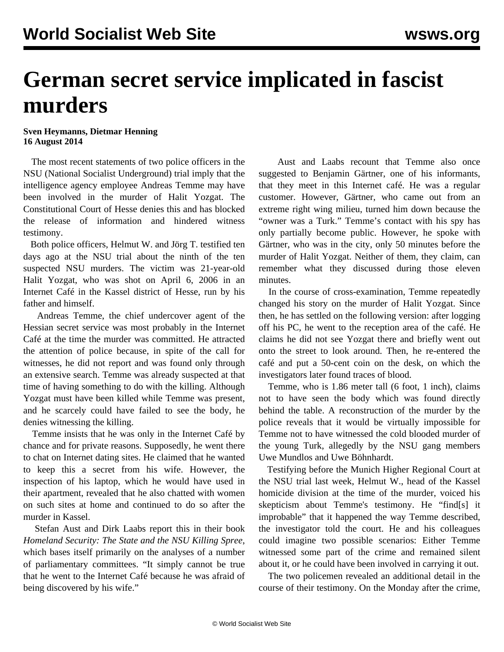## **German secret service implicated in fascist murders**

## **Sven Heymanns, Dietmar Henning 16 August 2014**

 The most recent statements of two police officers in the NSU (National Socialist Underground) trial imply that the intelligence agency employee Andreas Temme may have been involved in the murder of Halit Yozgat. The Constitutional Court of Hesse denies this and has blocked the release of information and hindered witness testimony.

 Both police officers, Helmut W. and Jörg T. testified ten days ago at the NSU trial about the ninth of the ten suspected NSU murders. The victim was 21-year-old Halit Yozgat, who was shot on April 6, 2006 in an Internet Café in the Kassel district of Hesse, run by his father and himself.

 Andreas Temme, the chief undercover agent of the Hessian secret service was most probably in the Internet Café at the time the murder was committed. He attracted the attention of police because, in spite of the call for witnesses, he did not report and was found only through an extensive search. Temme was already suspected at that time of having something to do with the killing. Although Yozgat must have been killed while Temme was present, and he scarcely could have failed to see the body, he denies witnessing the killing.

 Temme insists that he was only in the Internet Café by chance and for private reasons. Supposedly, he went there to chat on Internet dating sites. He claimed that he wanted to keep this a secret from his wife. However, the inspection of his laptop, which he would have used in their apartment, revealed that he also chatted with women on such sites at home and continued to do so after the murder in Kassel.

 Stefan Aust and Dirk Laabs report this in their book *Homeland Security: The State and the NSU Killing Spree*, which bases itself primarily on the analyses of a number of parliamentary committees. "It simply cannot be true that he went to the Internet Café because he was afraid of being discovered by his wife."

 Aust and Laabs recount that Temme also once suggested to Benjamin Gärtner, one of his informants, that they meet in this Internet café. He was a regular customer. However, Gärtner, who came out from an extreme right wing milieu, turned him down because the "owner was a Turk." Temme's contact with his spy has only partially become public. However, he spoke with Gärtner, who was in the city, only 50 minutes before the murder of Halit Yozgat. Neither of them, they claim, can remember what they discussed during those eleven minutes.

 In the course of cross-examination, Temme repeatedly changed his story on the murder of Halit Yozgat. Since then, he has settled on the following version: after logging off his PC, he went to the reception area of the café. He claims he did not see Yozgat there and briefly went out onto the street to look around. Then, he re-entered the café and put a 50-cent coin on the desk, on which the investigators later found traces of blood.

 Temme, who is 1.86 meter tall (6 foot, 1 inch), claims not to have seen the body which was found directly behind the table. A reconstruction of the murder by the police reveals that it would be virtually impossible for Temme not to have witnessed the cold blooded murder of the young Turk, allegedly by the NSU gang members Uwe Mundlos and Uwe Böhnhardt.

 Testifying before the Munich Higher Regional Court at the NSU trial last week, Helmut W., head of the Kassel homicide division at the time of the murder, voiced his skepticism about Temme's testimony. He "find[s] it improbable" that it happened the way Temme described, the investigator told the court. He and his colleagues could imagine two possible scenarios: Either Temme witnessed some part of the crime and remained silent about it, or he could have been involved in carrying it out.

 The two policemen revealed an additional detail in the course of their testimony. On the Monday after the crime,